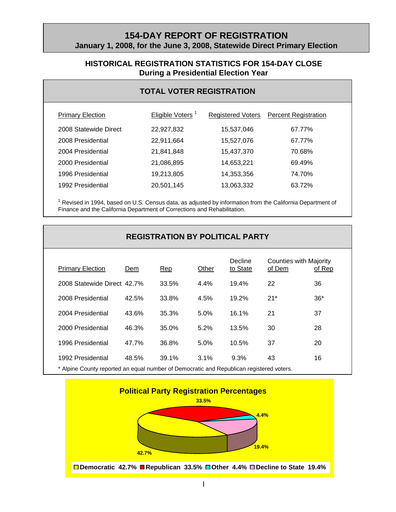## **154-DAY REPORT OF REGISTRATION January 1, 2008, for the June 3, 2008, Statewide Direct Primary Election**

## **HISTORICAL REGISTRATION STATISTICS FOR 154-DAY CLOSE During a Presidential Election Year**

## **TOTAL VOTER REGISTRATION**

| <b>Primary Election</b> | Eligible Voters <sup>1</sup> | <b>Registered Voters</b> | <b>Percent Registration</b> |
|-------------------------|------------------------------|--------------------------|-----------------------------|
| 2008 Statewide Direct   | 22,927,832                   | 15,537,046               | 67.77%                      |
| 2008 Presidential       | 22,911,664                   | 15,527,076               | 67.77%                      |
| 2004 Presidential       | 21,841,848                   | 15,437,370               | 70.68%                      |
| 2000 Presidential       | 21,086,895                   | 14,653,221               | 69.49%                      |
| 1996 Presidential       | 19,213,805                   | 14,353,356               | 74.70%                      |
| 1992 Presidential       | 20,501,145                   | 13,063,332               | 63.72%                      |

<sup>1</sup> Revised in 1994, based on U.S. Census data, as adjusted by information from the California Department of Finance and the California Department of Corrections and Rehabilitation.

| <b>REGISTRATION BY POLITICAL PARTY</b> |       |       |         |                     |                                         |        |
|----------------------------------------|-------|-------|---------|---------------------|-----------------------------------------|--------|
| <b>Primary Election</b>                | Dem   | Rep   | Other   | Decline<br>to State | <b>Counties with Majority</b><br>of Dem | of Rep |
| 2008 Statewide Direct 42.7%            |       | 33.5% | $4.4\%$ | 19.4%               | 22                                      | 36     |
| 2008 Presidential                      | 42.5% | 33.8% | 4.5%    | 19.2%               | $21*$                                   | $36*$  |
| 2004 Presidential                      | 43.6% | 35.3% | 5.0%    | 16.1%               | 21                                      | 37     |
| 2000 Presidential                      | 46.3% | 35.0% | 5.2%    | 13.5%               | 30                                      | 28     |
| 1996 Presidential                      | 47.7% | 36.8% | 5.0%    | 10.5%               | 37                                      | 20     |
| 1992 Presidential                      | 48.5% | 39.1% | 3.1%    | 9.3%                | 43                                      | 16     |